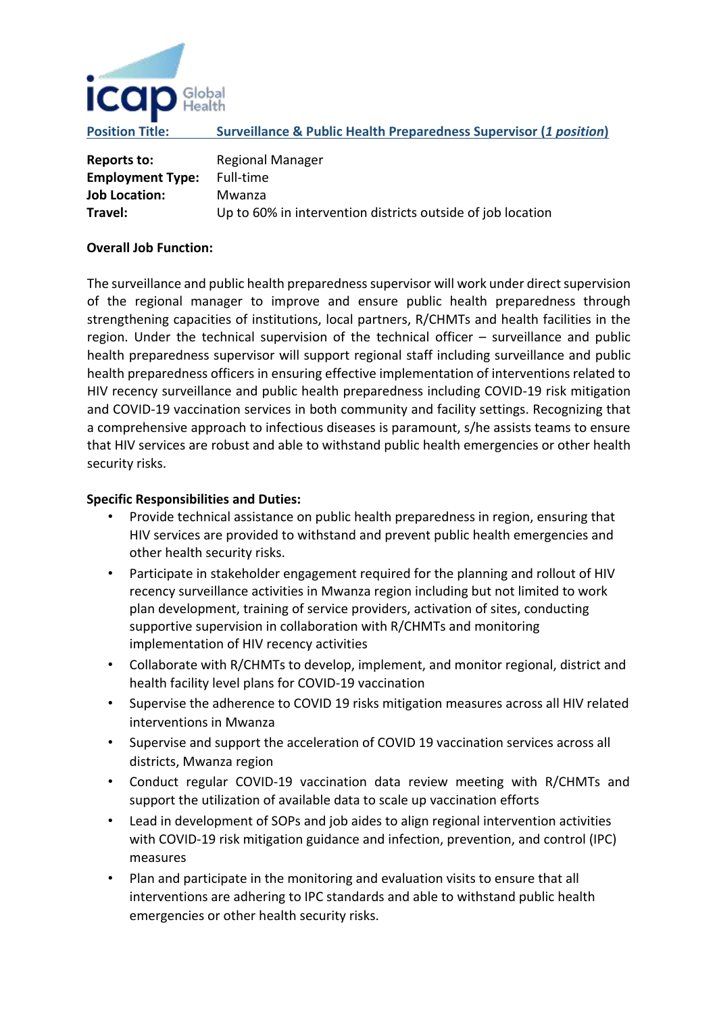

**Position Title: Surveillance & Public Health Preparedness Supervisor (***1 position***)**

| Reports to:             | <b>Regional Manager</b>                                     |
|-------------------------|-------------------------------------------------------------|
| <b>Employment Type:</b> | Full-time                                                   |
| <b>Job Location:</b>    | Mwanza                                                      |
| Travel:                 | Up to 60% in intervention districts outside of job location |

## **Overall Job Function:**

The surveillance and public health preparedness supervisor will work under direct supervision of the regional manager to improve and ensure public health preparedness through strengthening capacities of institutions, local partners, R/CHMTs and health facilities in the region. Under the technical supervision of the technical officer – surveillance and public health preparedness supervisor will support regional staff including surveillance and public health preparedness officers in ensuring effective implementation of interventions related to HIV recency surveillance and public health preparedness including COVID-19 risk mitigation and COVID-19 vaccination services in both community and facility settings. Recognizing that a comprehensive approach to infectious diseases is paramount, s/he assists teams to ensure that HIV services are robust and able to withstand public health emergencies or other health security risks.

## **Specific Responsibilities and Duties:**

- Provide technical assistance on public health preparedness in region, ensuring that HIV services are provided to withstand and prevent public health emergencies and other health security risks.
- Participate in stakeholder engagement required for the planning and rollout of HIV recency surveillance activities in Mwanza region including but not limited to work plan development, training of service providers, activation of sites, conducting supportive supervision in collaboration with R/CHMTs and monitoring implementation of HIV recency activities
- Collaborate with R/CHMTs to develop, implement, and monitor regional, district and health facility level plans for COVID-19 vaccination
- Supervise the adherence to COVID 19 risks mitigation measures across all HIV related interventions in Mwanza
- Supervise and support the acceleration of COVID 19 vaccination services across all districts, Mwanza region
- Conduct regular COVID-19 vaccination data review meeting with R/CHMTs and support the utilization of available data to scale up vaccination efforts
- Lead in development of SOPs and job aides to align regional intervention activities with COVID-19 risk mitigation guidance and infection, prevention, and control (IPC) measures
- Plan and participate in the monitoring and evaluation visits to ensure that all interventions are adhering to IPC standards and able to withstand public health emergencies or other health security risks.